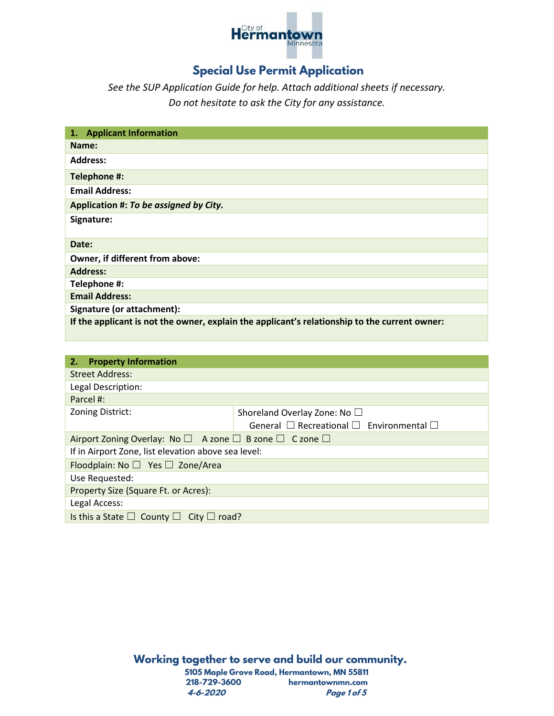

## **Special Use Permit Application**

*See the SUP Application Guide for help. Attach additional sheets if necessary. Do not hesitate to ask the City for any assistance.*

| <b>Applicant Information</b><br>1.                                                            |
|-----------------------------------------------------------------------------------------------|
| Name:                                                                                         |
| <b>Address:</b>                                                                               |
| Telephone #:                                                                                  |
| <b>Email Address:</b>                                                                         |
| Application #: To be assigned by City.                                                        |
| Signature:                                                                                    |
| Date:                                                                                         |
| Owner, if different from above:                                                               |
| <b>Address:</b>                                                                               |
| Telephone #:                                                                                  |
| <b>Email Address:</b>                                                                         |
| Signature (or attachment):                                                                    |
| If the applicant is not the owner, explain the applicant's relationship to the current owner: |

| <b>Property Information</b><br>2.                                                       |                                                         |  |
|-----------------------------------------------------------------------------------------|---------------------------------------------------------|--|
| <b>Street Address:</b>                                                                  |                                                         |  |
| Legal Description:                                                                      |                                                         |  |
| Parcel #:                                                                               |                                                         |  |
| Zoning District:                                                                        | Shoreland Overlay Zone: No □                            |  |
|                                                                                         | General $\Box$ Recreational $\Box$ Environmental $\Box$ |  |
| Airport Zoning Overlay: No $\square$ A zone $\square$ B zone $\square$ C zone $\square$ |                                                         |  |
| If in Airport Zone, list elevation above sea level:                                     |                                                         |  |
| Floodplain: No $\Box$ Yes $\Box$ Zone/Area                                              |                                                         |  |
| Use Requested:                                                                          |                                                         |  |
| Property Size (Square Ft. or Acres):                                                    |                                                         |  |
| Legal Access:                                                                           |                                                         |  |
| Is this a State $\square$ County $\square$ City $\square$ road?                         |                                                         |  |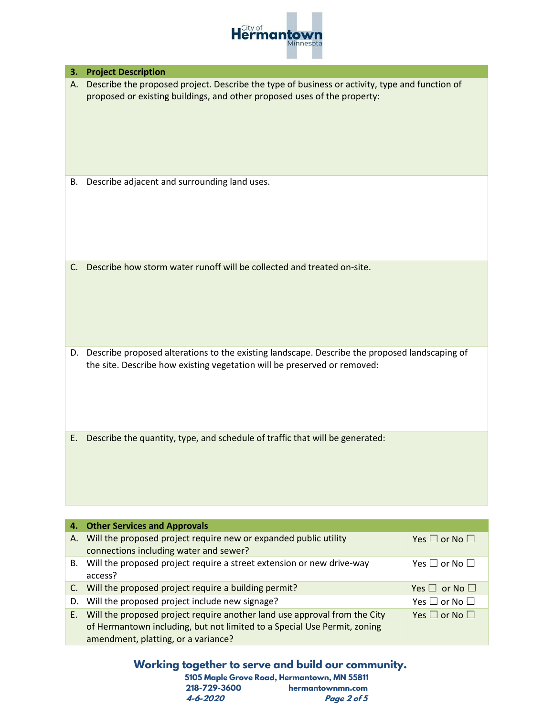

| 3. | <b>Project Description</b>                                                                                                                                                   |                               |
|----|------------------------------------------------------------------------------------------------------------------------------------------------------------------------------|-------------------------------|
| А. | Describe the proposed project. Describe the type of business or activity, type and function of<br>proposed or existing buildings, and other proposed uses of the property:   |                               |
| В. | Describe adjacent and surrounding land uses.                                                                                                                                 |                               |
| C. | Describe how storm water runoff will be collected and treated on-site.                                                                                                       |                               |
|    | D. Describe proposed alterations to the existing landscape. Describe the proposed landscaping of<br>the site. Describe how existing vegetation will be preserved or removed: |                               |
| E. | Describe the quantity, type, and schedule of traffic that will be generated:                                                                                                 |                               |
|    |                                                                                                                                                                              |                               |
| 4. | <b>Other Services and Approvals</b>                                                                                                                                          |                               |
| А. | Will the proposed project require new or expanded public utility<br>connections including water and sewer?                                                                   | Yes $\Box$ or No $\Box$       |
| В. | Will the proposed project require a street extension or new drive-way<br>access?                                                                                             | Yes $\square$ or No $\square$ |

| acccos:                                                                      |                         |
|------------------------------------------------------------------------------|-------------------------|
| C. Will the proposed project require a building permit?                      | Yes $\Box$ or No $\Box$ |
| D. Will the proposed project include new signage?                            | Yes $\Box$ or No $\Box$ |
| E. Will the proposed project require another land use approval from the City | Yes $\Box$ or No $\Box$ |
| of Hermantown including, but not limited to a Special Use Permit, zoning     |                         |
| amendment, platting, or a variance?                                          |                         |

## **Working together to serve and build our community.**

|              | 5105 Maple Grove Road, Hermantown, MN 55811 |
|--------------|---------------------------------------------|
| 218-729-3600 | hermantownmn.com                            |
| 4-6-2020     | Page 2 of 5                                 |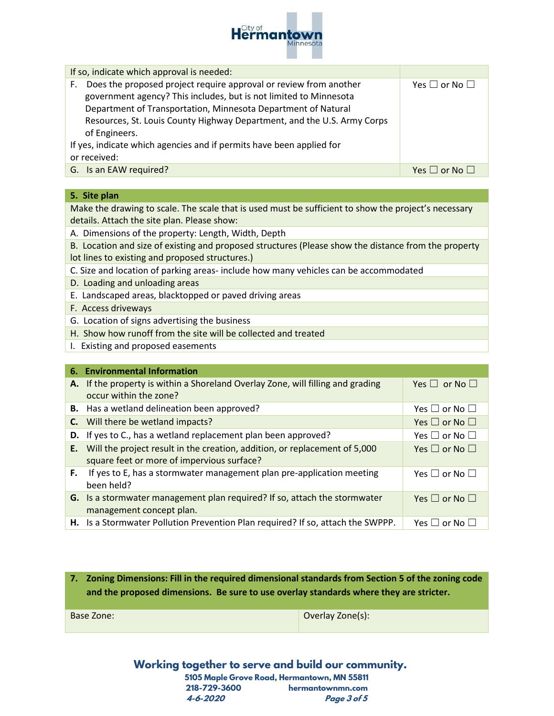

If so, indicate which approval is needed:

| Does the proposed project require approval or review from another<br>F. | Yes $\Box$ or No $\Box$       |
|-------------------------------------------------------------------------|-------------------------------|
| government agency? This includes, but is not limited to Minnesota       |                               |
| Department of Transportation, Minnesota Department of Natural           |                               |
| Resources, St. Louis County Highway Department, and the U.S. Army Corps |                               |
| of Engineers.                                                           |                               |
| If yes, indicate which agencies and if permits have been applied for    |                               |
| or received:                                                            |                               |
| G. Is an EAW required?                                                  | Yes $\square$ or No $\square$ |

## **5. Site plan**

Make the drawing to scale. The scale that is used must be sufficient to show the project's necessary details. Attach the site plan. Please show:

A. Dimensions of the property: Length, Width, Depth

- B. Location and size of existing and proposed structures (Please show the distance from the property lot lines to existing and proposed structures.)
- C. Size and location of parking areas- include how many vehicles can be accommodated
- D. Loading and unloading areas
- E. Landscaped areas, blacktopped or paved driving areas
- F. Access driveways
- G. Location of signs advertising the business
- H. Show how runoff from the site will be collected and treated
- I. Existing and proposed easements

|    | 6. Environmental Information                                                    |                         |
|----|---------------------------------------------------------------------------------|-------------------------|
| А. | If the property is within a Shoreland Overlay Zone, will filling and grading    | Yes $\Box$ or No $\Box$ |
|    | occur within the zone?                                                          |                         |
|    | <b>B.</b> Has a wetland delineation been approved?                              | Yes $\Box$ or No $\Box$ |
| C. | Will there be wetland impacts?                                                  | Yes $\Box$ or No $\Box$ |
|    | D. If yes to C., has a wetland replacement plan been approved?                  | Yes $\Box$ or No $\Box$ |
| Е. | Will the project result in the creation, addition, or replacement of 5,000      | Yes $\Box$ or No $\Box$ |
|    | square feet or more of impervious surface?                                      |                         |
| F. | If yes to E, has a stormwater management plan pre-application meeting           | Yes $\Box$ or No $\Box$ |
|    | been held?                                                                      |                         |
|    | G. Is a stormwater management plan required? If so, attach the stormwater       | Yes $\Box$ or No $\Box$ |
|    | management concept plan.                                                        |                         |
|    | H. Is a Stormwater Pollution Prevention Plan required? If so, attach the SWPPP. | Yes $\Box$ or No $\Box$ |

**7. Zoning Dimensions: Fill in the required dimensional standards from Section 5 of the zoning code and the proposed dimensions. Be sure to use overlay standards where they are stricter.**

Base Zone: Overlay Zone(s):

**Working together to serve and build our community. 5105 Maple Grove Road, Hermantown, MN 55811 218-729-3600 hermantownmn.com 4-6-2020 Page 3 of 5**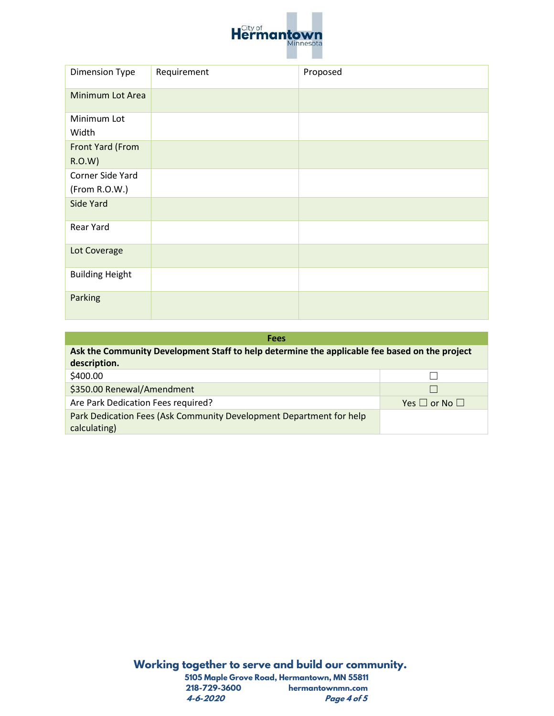

| <b>Dimension Type</b>  | Requirement | Proposed |
|------------------------|-------------|----------|
| Minimum Lot Area       |             |          |
| Minimum Lot            |             |          |
| Width                  |             |          |
| Front Yard (From       |             |          |
| R.O.W)                 |             |          |
| Corner Side Yard       |             |          |
| (From R.O.W.)          |             |          |
| Side Yard              |             |          |
| Rear Yard              |             |          |
| Lot Coverage           |             |          |
| <b>Building Height</b> |             |          |
| Parking                |             |          |

| <b>Fees</b>                                                                                   |                         |  |
|-----------------------------------------------------------------------------------------------|-------------------------|--|
| Ask the Community Development Staff to help determine the applicable fee based on the project |                         |  |
| description.                                                                                  |                         |  |
| \$400.00                                                                                      |                         |  |
| \$350.00 Renewal/Amendment                                                                    |                         |  |
| Are Park Dedication Fees required?                                                            | Yes $\Box$ or No $\Box$ |  |
| Park Dedication Fees (Ask Community Development Department for help                           |                         |  |
| calculating)                                                                                  |                         |  |